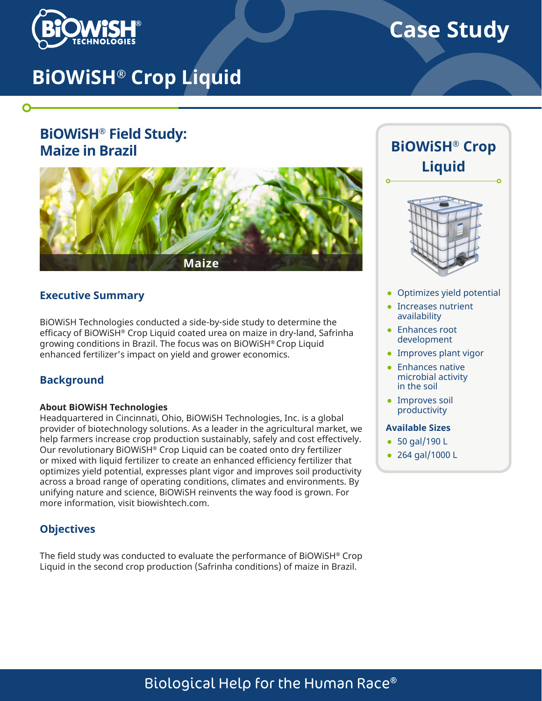

O

# **Case Study**

# **BiOWiSH® Crop Liquid**

# **BiOWiSH® Field Study: Maize in Brazil**



### **Executive Summary**

BiOWiSH Technologies conducted a side-by-side study to determine the efficacy of BiOWiSH® Crop Liquid coated urea on maize in dry-land, Safrinha growing conditions in Brazil. The focus was on BiOWiSH® Crop Liquid enhanced fertilizer's impact on yield and grower economics.

### **Background**

#### **About BiOWiSH Technologies**

Headquartered in Cincinnati, Ohio, BiOWiSH Technologies, Inc. is a global provider of biotechnology solutions. As a leader in the agricultural market, we help farmers increase crop production sustainably, safely and cost effectively. Our revolutionary BiOWiSH® Crop Liquid can be coated onto dry fertilizer or mixed with liquid fertilizer to create an enhanced efficiency fertilizer that optimizes yield potential, expresses plant vigor and improves soil productivity across a broad range of operating conditions, climates and environments. By unifying nature and science, BiOWiSH reinvents the way food is grown. For more information, visit biowishtech.com.

### **Objectives**

The field study was conducted to evaluate the performance of BiOWiSH $^{\circ}$  Crop Liquid in the second crop production (Safrinha conditions) of maize in Brazil.





- Optimizes yield potential
- Increases nutrient availability
- Enhances root development
- Improves plant vigor
- Enhances native microbial activity in the soil
- Improves soil productivity

#### **Available Sizes**

- 50 gal/190 L
- 264 gal/1000 L

# Biological Help for the Human Race®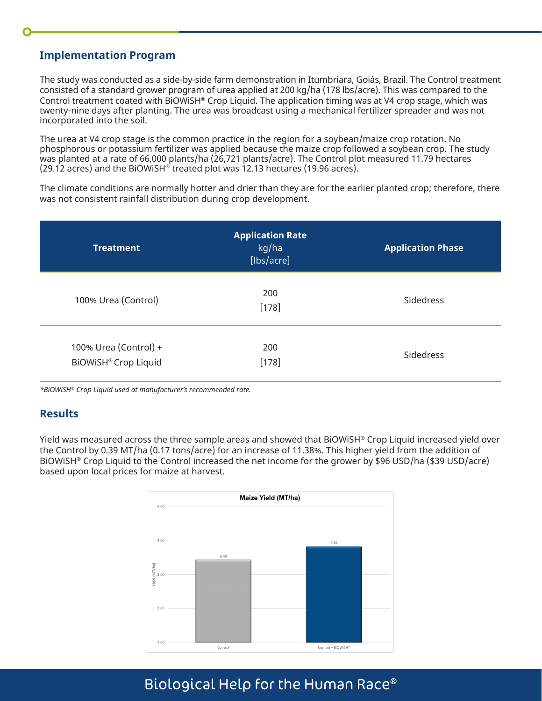## **Implementation Program**

The study was conducted as a side-by-side farm demonstration in Itumbriara, Goiás, Brazil. The Control treatment consisted of a standard grower program of urea applied at 200 kg/ha (178 lbs/acre). This was compared to the Control treatment coated with BiOWiSH® Crop Liquid. The application timing was at V4 crop stage, which was twenty-nine days after planting. The urea was broadcast using a mechanical fertilizer spreader and was not incorporated into the soil.

The urea at V4 crop stage is the common practice in the region for a soybean/maize crop rotation. No phosphorous or potassium fertilizer was applied because the maize crop followed a soybean crop. The study was planted at a rate of 66,000 plants/ha (26,721 plants/acre). The Control plot measured 11.79 hectares (29.12 acres) and the BiOWiSH<sup>®</sup> treated plot was 12.13 hectares (19.96 acres).

The climate conditions are normally hotter and drier than they are for the earlier planted crop; therefore, there was not consistent rainfall distribution during crop development.

| <b>Treatment</b>                                          | <b>Application Rate</b><br>kg/ha<br>[lbs/acre] | <b>Application Phase</b> |
|-----------------------------------------------------------|------------------------------------------------|--------------------------|
| 100% Urea (Control)                                       | 200<br>$[178]$                                 | <b>Sidedress</b>         |
| 100% Urea (Control) +<br>BiOWiSH <sup>®</sup> Crop Liquid | 200<br>$[178]$                                 | Sidedress                |

*\*BiOWiSH® Crop Liquid used at manufacturer's recommended rate.*

## **Results**

Yield was measured across the three sample areas and showed that BiOWiSH® Crop Liquid increased yield over the Control by 0.39 MT/ha (0.17 tons/acre) for an increase of 11.38%. This higher yield from the addition of BiOWiSH® Crop Liquid to the Control increased the net income for the grower by \$96 USD/ha (\$39 USD/acre) based upon local prices for maize at harvest.



# Biological Help for the Human Race®